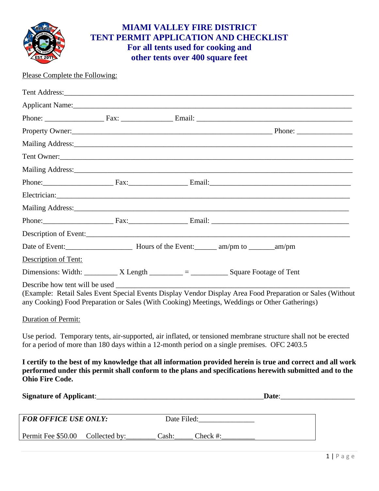

# **MIAMI VALLEY FIRE DISTRICT TENT PERMIT APPLICATION AND CHECKLIST For all tents used for cooking and other tents over 400 square feet**

### Please Complete the Following:

|                             |                                | Applicant Name: 1990 and 200 and 200 and 200 and 200 and 200 and 200 and 200 and 200 and 200 and 200 and 200 and 200 and 200 and 200 and 200 and 200 and 200 and 200 and 200 and 200 and 200 and 200 and 200 and 200 and 200 a |  |
|-----------------------------|--------------------------------|--------------------------------------------------------------------------------------------------------------------------------------------------------------------------------------------------------------------------------|--|
|                             |                                |                                                                                                                                                                                                                                |  |
|                             |                                | Property Owner: Property Owner:                                                                                                                                                                                                |  |
|                             |                                |                                                                                                                                                                                                                                |  |
|                             |                                |                                                                                                                                                                                                                                |  |
|                             |                                |                                                                                                                                                                                                                                |  |
|                             |                                | Phone: Fax: Fax: Email: Email: Email: Email: Email: Email: Email: Email: Email: Email: Email: Email: Email: Email: Email: Email: Email: Email: Email: Email: Email: Email: Email: Email: Email: Email: Email: Email: Email: Em |  |
|                             |                                | Electrician: New York Structure and Structure and Structure and Structure and Structure and Structure and Structure and Structure and Structure and Structure and Structure and Structure and Structure and Structure and Stru |  |
|                             |                                |                                                                                                                                                                                                                                |  |
|                             |                                |                                                                                                                                                                                                                                |  |
|                             |                                |                                                                                                                                                                                                                                |  |
|                             |                                |                                                                                                                                                                                                                                |  |
| Description of Tent:        |                                |                                                                                                                                                                                                                                |  |
|                             |                                | Dimensions: Width: $X Length  =  = $ Square Footage of Tent                                                                                                                                                                    |  |
|                             | Describe how tent will be used | (Example: Retail Sales Event Special Events Display Vendor Display Area Food Preparation or Sales (Without<br>any Cooking) Food Preparation or Sales (With Cooking) Meetings, Weddings or Other Gatherings)                    |  |
| Duration of Permit:         |                                |                                                                                                                                                                                                                                |  |
|                             |                                | Use period. Temporary tents, air-supported, air inflated, or tensioned membrane structure shall not be erected<br>for a period of more than 180 days within a 12-month period on a single premises. OFC 2403.5                 |  |
| <b>Ohio Fire Code.</b>      |                                | I certify to the best of my knowledge that all information provided herein is true and correct and all work<br>performed under this permit shall conform to the plans and specifications herewith submitted and to the         |  |
|                             |                                | Signature of Applicant: 1997 and 2008 and 2009 and 2009 and 2009 and 2009 and 2009 and 2009 and 2009 and 2009                                                                                                                  |  |
| <b>FOR OFFICE USE ONLY:</b> |                                |                                                                                                                                                                                                                                |  |

Permit Fee \$50.00 Collected by: Cash: Cash: Check #: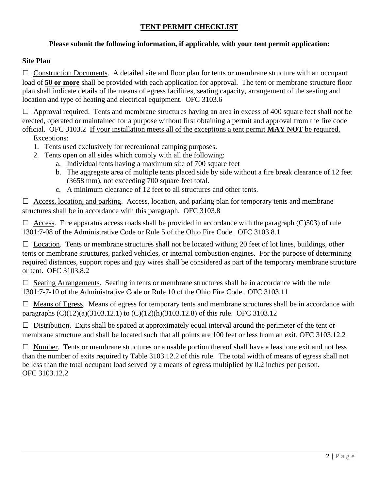## **TENT PERMIT CHECKLIST**

#### **Please submit the following information, if applicable, with your tent permit application:**

#### **Site Plan**

 $\Box$  Construction Documents. A detailed site and floor plan for tents or membrane structure with an occupant load of **50 or more** shall be provided with each application for approval. The tent or membrane structure floor plan shall indicate details of the means of egress facilities, seating capacity, arrangement of the seating and location and type of heating and electrical equipment. OFC 3103.6

 $\Box$  Approval required. Tents and membrane structures having an area in excess of 400 square feet shall not be erected, operated or maintained for a purpose without first obtaining a permit and approval from the fire code official. OFC 3103.2 If your installation meets all of the exceptions a tent permit **MAY NOT** be required. Exceptions:

- 1. Tents used exclusively for recreational camping purposes.
- 2. Tents open on all sides which comply with all the following:
	- a. Individual tents having a maximum site of 700 square feet
	- b. The aggregate area of multiple tents placed side by side without a fire break clearance of 12 feet (3658 mm), not exceeding 700 square feet total.
	- c. A minimum clearance of 12 feet to all structures and other tents.

 $\Box$  Access, location, and parking. Access, location, and parking plan for temporary tents and membrane structures shall be in accordance with this paragraph. OFC 3103.8

 $\Box$  Access. Fire apparatus access roads shall be provided in accordance with the paragraph (C)503) of rule 1301:7-08 of the Administrative Code or Rule 5 of the Ohio Fire Code. OFC 3103.8.1

 $\Box$  Location. Tents or membrane structures shall not be located withing 20 feet of lot lines, buildings, other tents or membrane structures, parked vehicles, or internal combustion engines. For the purpose of determining required distances, support ropes and guy wires shall be considered as part of the temporary membrane structure or tent. OFC 3103.8.2

 $\square$  Seating Arrangements. Seating in tents or membrane structures shall be in accordance with the rule 1301:7-7-10 of the Administrative Code or Rule 10 of the Ohio Fire Code. OFC 3103.11

 $\Box$  Means of Egress. Means of egress for temporary tents and membrane structures shall be in accordance with paragraphs (C)(12)(a)(3103.12.1) to (C)(12)(h)(3103.12.8) of this rule. OFC 3103.12

 $\Box$  Distribution. Exits shall be spaced at approximately equal interval around the perimeter of the tent or membrane structure and shall be located such that all points are 100 feet or less from an exit. OFC 3103.12.2

 $\Box$  Number. Tents or membrane structures or a usable portion thereof shall have a least one exit and not less than the number of exits required ty Table 3103.12.2 of this rule. The total width of means of egress shall not be less than the total occupant load served by a means of egress multiplied by 0.2 inches per person. OFC 3103.12.2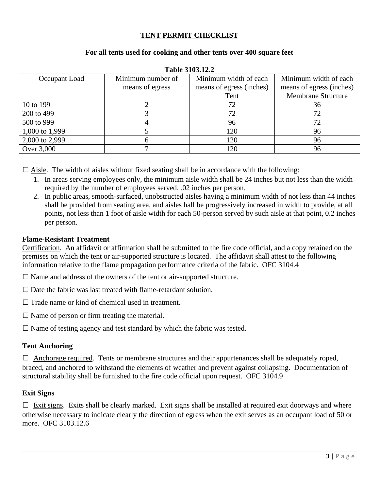#### **TENT PERMIT CHECKLIST**

#### **For all tents used for cooking and other tents over 400 square feet**

| Occupant Load  | Minimum number of | Minimum width of each    | Minimum width of each     |  |  |
|----------------|-------------------|--------------------------|---------------------------|--|--|
|                | means of egress   | means of egress (inches) | means of egress (inches)  |  |  |
|                |                   | Tent                     | <b>Membrane Structure</b> |  |  |
| 10 to 199      |                   | 72                       | 36                        |  |  |
| 200 to 499     |                   | 72                       |                           |  |  |
| 500 to 999     |                   | 96                       |                           |  |  |
| 1,000 to 1,999 |                   | 120                      | 96                        |  |  |
| 2,000 to 2,999 |                   | 120                      | 96                        |  |  |
| Over 3,000     |                   | 120                      | 96                        |  |  |

#### **Table 3103.12.2**

 $\square$  Aisle. The width of aisles without fixed seating shall be in accordance with the following:

- 1. In areas serving employees only, the minimum aisle width shall be 24 inches but not less than the width required by the number of employees served, .02 inches per person.
- 2. In public areas, smooth-surfaced, unobstructed aisles having a minimum width of not less than 44 inches shall be provided from seating area, and aisles hall be progressively increased in width to provide, at all points, not less than 1 foot of aisle width for each 50-person served by such aisle at that point, 0.2 inches per person.

#### **Flame-Resistant Treatment**

Certification. An affidavit or affirmation shall be submitted to the fire code official, and a copy retained on the premises on which the tent or air-supported structure is located. The affidavit shall attest to the following information relative to the flame propagation performance criteria of the fabric. OFC 3104.4

 $\square$  Name and address of the owners of the tent or air-supported structure.

 $\square$  Date the fabric was last treated with flame-retardant solution.

 $\Box$  Trade name or kind of chemical used in treatment.

 $\square$  Name of person or firm treating the material.

 $\square$  Name of testing agency and test standard by which the fabric was tested.

#### **Tent Anchoring**

 $\Box$  Anchorage required. Tents or membrane structures and their appurtenances shall be adequately roped, braced, and anchored to withstand the elements of weather and prevent against collapsing. Documentation of structural stability shall be furnished to the fire code official upon request. OFC 3104.9

#### **Exit Signs**

 $\Box$  Exit signs. Exits shall be clearly marked. Exit signs shall be installed at required exit doorways and where otherwise necessary to indicate clearly the direction of egress when the exit serves as an occupant load of 50 or more. OFC 3103.12.6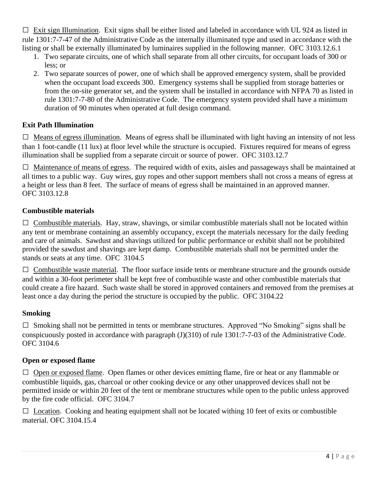$\Box$  Exit sign Illumination. Exit signs shall be either listed and labeled in accordance with UL 924 as listed in rule 1301:7-7-47 of the Administrative Code as the internally illuminated type and used in accordance with the listing or shall be externally illuminated by luminaires supplied in the following manner. OFC 3103.12.6.1

- 1. Two separate circuits, one of which shall separate from all other circuits, for occupant loads of 300 or less; or
- 2. Two separate sources of power, one of which shall be approved emergency system, shall be provided when the occupant load exceeds 300. Emergency systems shall be supplied from storage batteries or from the on-site generator set, and the system shall be installed in accordance with NFPA 70 as listed in rule 1301:7-7-80 of the Administrative Code. The emergency system provided shall have a minimum duration of 90 minutes when operated at full design command.

### **Exit Path Illumination**

 $\Box$  Means of egress illumination. Means of egress shall be illuminated with light having an intensity of not less than 1 foot-candle (11 lux) at floor level while the structure is occupied. Fixtures required for means of egress illumination shall be supplied from a separate circuit or source of power. OFC 3103.12.7

 $\Box$  Maintenance of means of egress. The required width of exits, aisles and passageways shall be maintained at all times to a public way. Guy wires, guy ropes and other support members shall not cross a means of egress at a height or less than 8 feet. The surface of means of egress shall be maintained in an approved manner. OFC 3103.12.8

### **Combustible materials**

 $\Box$  Combustible materials. Hay, straw, shavings, or similar combustible materials shall not be located within any tent or membrane containing an assembly occupancy, except the materials necessary for the daily feeding and care of animals. Sawdust and shavings utilized for public performance or exhibit shall not be prohibited provided the sawdust and shavings are kept damp. Combustible materials shall not be permitted under the stands or seats at any time. OFC 3104.5

 $\Box$  Combustible waste material. The floor surface inside tents or membrane structure and the grounds outside and within a 30-foot perimeter shall be kept free of combustible waste and other combustible materials that could create a fire hazard. Such waste shall be stored in approved containers and removed from the premises at least once a day during the period the structure is occupied by the public. OFC 3104.22

### **Smoking**

 $\square$  Smoking shall not be permitted in tents or membrane structures. Approved "No Smoking" signs shall be conspicuously posted in accordance with paragraph (J)(310) of rule 1301:7-7-03 of the Administrative Code. OFC 3104.6

#### **Open or exposed flame**

 $\Box$  Open or exposed flame. Open flames or other devices emitting flame, fire or heat or any flammable or combustible liquids, gas, charcoal or other cooking device or any other unapproved devices shall not be permitted inside or within 20 feet of the tent or membrane structures while open to the public unless approved by the fire code official. OFC 3104.7

 $\Box$  Location. Cooking and heating equipment shall not be located withing 10 feet of exits or combustible material. OFC 3104.15.4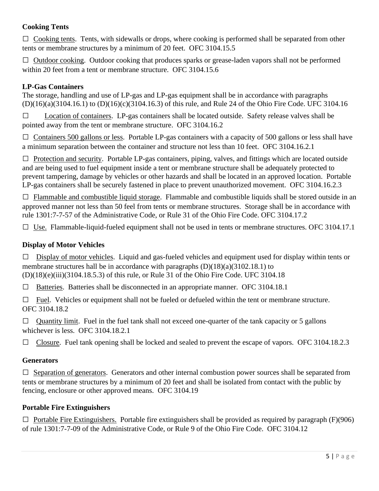## **Cooking Tents**

 $\Box$  Cooking tents. Tents, with sidewalls or drops, where cooking is performed shall be separated from other tents or membrane structures by a minimum of 20 feet. OFC 3104.15.5

□ Outdoor cooking. Outdoor cooking that produces sparks or grease-laden vapors shall not be performed within 20 feet from a tent or membrane structure. OFC 3104.15.6

## **LP-Gas Containers**

The storage, handling and use of LP-gas and LP-gas equipment shall be in accordance with paragraphs (D)(16)(a)(3104.16.1) to (D)(16)(c)(3104.16.3) of this rule, and Rule 24 of the Ohio Fire Code. UFC 3104.16

□ Location of containers. LP-gas containers shall be located outside. Safety release valves shall be pointed away from the tent or membrane structure. OFC 3104.16.2

 $\Box$  Containers 500 gallons or less. Portable LP-gas containers with a capacity of 500 gallons or less shall have a minimum separation between the container and structure not less than 10 feet. OFC 3104.16.2.1

 $\Box$  Protection and security. Portable LP-gas containers, piping, valves, and fittings which are located outside and are being used to fuel equipment inside a tent or membrane structure shall be adequately protected to prevent tampering, damage by vehicles or other hazards and shall be located in an approved location. Portable LP-gas containers shall be securely fastened in place to prevent unauthorized movement. OFC 3104.16.2.3

 $\Box$  Flammable and combustible liquid storage. Flammable and combustible liquids shall be stored outside in an approved manner not less than 50 feel from tents or membrane structures. Storage shall be in accordance with rule 1301:7-7-57 of the Administrative Code, or Rule 31 of the Ohio Fire Code. OFC 3104.17.2

 $\Box$  Use. Flammable-liquid-fueled equipment shall not be used in tents or membrane structures. OFC 3104.17.1

## **Display of Motor Vehicles**

 $\Box$  Display of motor vehicles. Liquid and gas-fueled vehicles and equipment used for display within tents or membrane structures hall be in accordance with paragraphs  $(D)(18)(a)(3102.18.1)$  to (D)(18)(e)(iii)(3104.18.5.3) of this rule, or Rule 31 of the Ohio Fire Code. UFC 3104.18

 $\Box$  Batteries. Batteries shall be disconnected in an appropriate manner. OFC 3104.18.1

 $\Box$  Fuel. Vehicles or equipment shall not be fueled or defueled within the tent or membrane structure. OFC 3104.18.2

 $\Box$  Quantity limit. Fuel in the fuel tank shall not exceed one-quarter of the tank capacity or 5 gallons whichever is less. OFC 3104.18.2.1

 $\Box$  Closure. Fuel tank opening shall be locked and sealed to prevent the escape of vapors. OFC 3104.18.2.3

### **Generators**

 $\Box$  Separation of generators. Generators and other internal combustion power sources shall be separated from tents or membrane structures by a minimum of 20 feet and shall be isolated from contact with the public by fencing, enclosure or other approved means. OFC 3104.19

### **Portable Fire Extinguishers**

 $\Box$  Portable Fire Extinguishers. Portable fire extinguishers shall be provided as required by paragraph (F)(906) of rule 1301:7-7-09 of the Administrative Code, or Rule 9 of the Ohio Fire Code. OFC 3104.12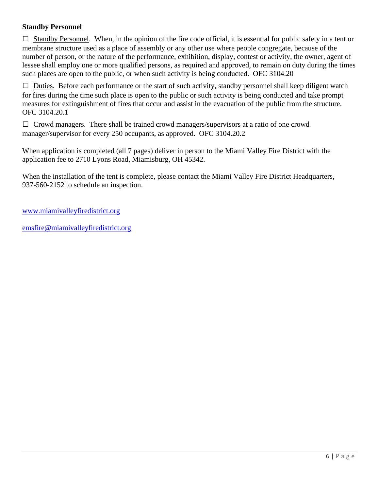#### **Standby Personnel**

 $\Box$  Standby Personnel. When, in the opinion of the fire code official, it is essential for public safety in a tent or membrane structure used as a place of assembly or any other use where people congregate, because of the number of person, or the nature of the performance, exhibition, display, contest or activity, the owner, agent of lessee shall employ one or more qualified persons, as required and approved, to remain on duty during the times such places are open to the public, or when such activity is being conducted. OFC 3104.20

 $\Box$  Duties. Before each performance or the start of such activity, standby personnel shall keep diligent watch for fires during the time such place is open to the public or such activity is being conducted and take prompt measures for extinguishment of fires that occur and assist in the evacuation of the public from the structure. OFC 3104.20.1

 $\Box$  Crowd managers. There shall be trained crowd managers/supervisors at a ratio of one crowd manager/supervisor for every 250 occupants, as approved. OFC 3104.20.2

When application is completed (all 7 pages) deliver in person to the Miami Valley Fire District with the application fee to 2710 Lyons Road, Miamisburg, OH 45342.

When the installation of the tent is complete, please contact the Miami Valley Fire District Headquarters, 937-560-2152 to schedule an inspection.

[www.miamivalleyfiredistrict.org](http://www.miamivalleyfiredistrict.org/)

[emsfire@miamivalleyfiredistrict.org](mailto:emsfire@miamivalleyfiredistrict.org)